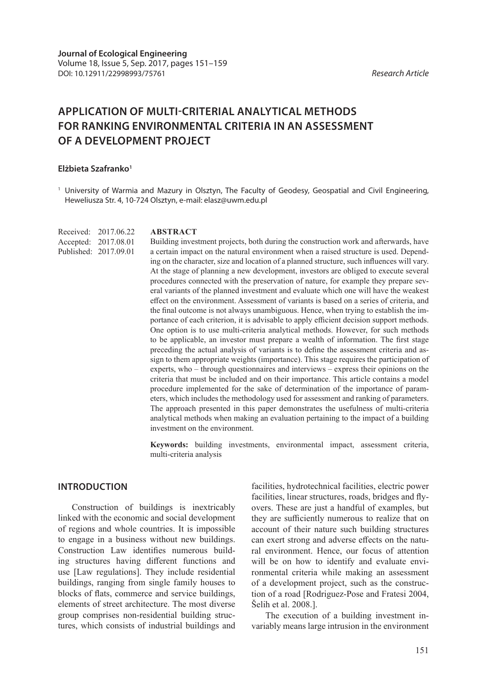## **APPLICATION OF MULTI-CRITERIAL ANALYTICAL METHODS FOR RANKING ENVIRONMENTAL CRITERIA IN AN ASSESSMENT OF A DEVELOPMENT PROJECT**

## **Elżbieta Szafranko1**

<sup>1</sup> University of Warmia and Mazury in Olsztyn, The Faculty of Geodesy, Geospatial and Civil Engineering, Heweliusza Str. 4, 10-724 Olsztyn, e-mail: elasz@uwm.edu.pl

Received: 2017.06.22 Accepted: 2017.08.01 Published: 2017.09.01

## **ABSTRACT**

Building investment projects, both during the construction work and afterwards, have a certain impact on the natural environment when a raised structure is used. Depending on the character, size and location of a planned structure, such influences will vary. At the stage of planning a new development, investors are obliged to execute several procedures connected with the preservation of nature, for example they prepare several variants of the planned investment and evaluate which one will have the weakest effect on the environment. Assessment of variants is based on a series of criteria, and the final outcome is not always unambiguous. Hence, when trying to establish the importance of each criterion, it is advisable to apply efficient decision support methods. One option is to use multi-criteria analytical methods. However, for such methods to be applicable, an investor must prepare a wealth of information. The first stage preceding the actual analysis of variants is to define the assessment criteria and assign to them appropriate weights (importance). This stage requires the participation of experts, who – through questionnaires and interviews – express their opinions on the criteria that must be included and on their importance. This article contains a model procedure implemented for the sake of determination of the importance of parameters, which includes the methodology used for assessment and ranking of parameters. The approach presented in this paper demonstrates the usefulness of multi-criteria analytical methods when making an evaluation pertaining to the impact of a building investment on the environment.

**Keywords:** building investments, environmental impact, assessment criteria, multi-criteria analysis

## **INTRODUCTION**

Construction of buildings is inextricably linked with the economic and social development of regions and whole countries. It is impossible to engage in a business without new buildings. Construction Law identifies numerous building structures having different functions and use [Law regulations]. They include residential buildings, ranging from single family houses to blocks of flats, commerce and service buildings, elements of street architecture. The most diverse group comprises non-residential building structures, which consists of industrial buildings and

facilities, hydrotechnical facilities, electric power facilities, linear structures, roads, bridges and flyovers. These are just a handful of examples, but they are sufficiently numerous to realize that on account of their nature such building structures can exert strong and adverse effects on the natural environment. Hence, our focus of attention will be on how to identify and evaluate environmental criteria while making an assessment of a development project, such as the construction of a road [Rodriguez-Pose and Fratesi 2004, Šelih et al. 2008.].

The execution of a building investment invariably means large intrusion in the environment